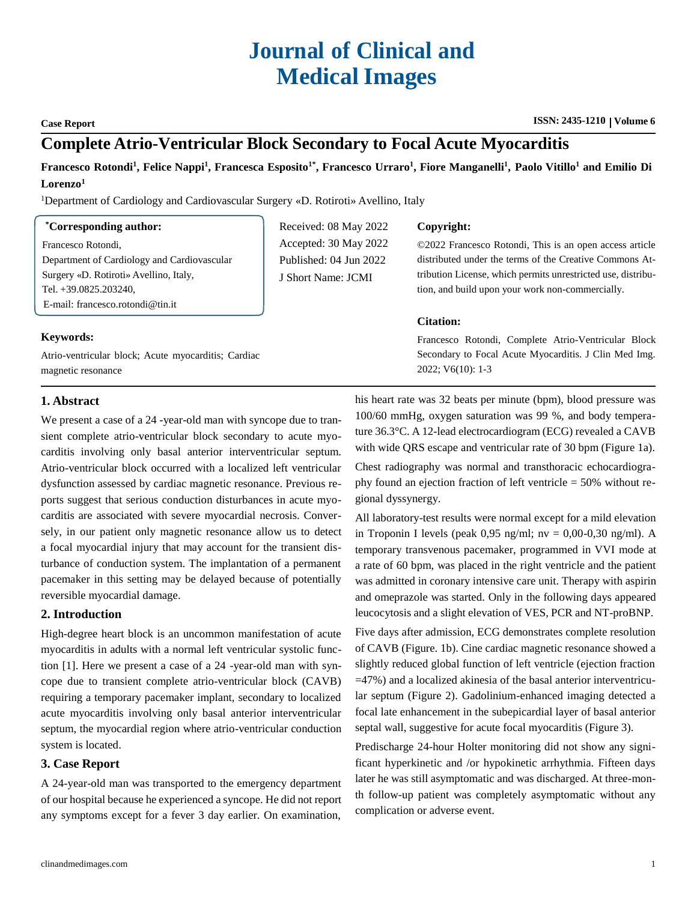# **Journal of Clinical and Medical Images**

#### **Case Report ISSN: 2435-1210 ISSN: 2435-1210 | Volume 6**

# **Complete Atrio-Ventricular Block Secondary to Focal Acute Myocarditis**

Francesco Rotondi<sup>1</sup>, Felice Nappi<sup>1</sup>, Francesca Esposito<sup>1\*</sup>, Francesco Urraro<sup>1</sup>, Fiore Manganelli<sup>1</sup>, Paolo Vitillo<sup>1</sup> and Emilio Di **Lorenzo<sup>1</sup>**

<sup>1</sup>Department of Cardiology and Cardiovascular Surgery «D. Rotiroti» Avellino, Italy

#### **\*Corresponding author:**

Francesco Rotondi, Department of Cardiology and Cardiovascular Surgery «D. Rotiroti» Avellino, Italy, Tel. +39.0825.203240, E-mail: [francesco.rotondi@tin.it](mailto:francesco.rotondi@tin.it)

**Keywords:**

Atrio-ventricular block; Acute myocarditis; Cardiac magnetic resonance

## Received: 08 May 2022 Accepted: 30 May 2022 Published: 04 Jun 2022 J Short Name: JCMI

#### **Copyright:**

©2022 Francesco Rotondi, This is an open access article distributed under the terms of the Creative Commons Attribution License, which permits unrestricted use, distribution, and build upon your work non-commercially.

#### **Citation:**

Francesco Rotondi, Complete Atrio-Ventricular Block Secondary to Focal Acute Myocarditis. J Clin Med Img. 2022; V6(10): 1-3

### **1. Abstract**

We present a case of a 24 -year-old man with syncope due to transient complete atrio-ventricular block secondary to acute myocarditis involving only basal anterior interventricular septum. Atrio-ventricular block occurred with a localized left ventricular dysfunction assessed by cardiac magnetic resonance. Previous reports suggest that serious conduction disturbances in acute myocarditis are associated with severe myocardial necrosis. Conversely, in our patient only magnetic resonance allow us to detect a focal myocardial injury that may account for the transient disturbance of conduction system. The implantation of a permanent pacemaker in this setting may be delayed because of potentially reversible myocardial damage.

### **2. Introduction**

High-degree heart block is an uncommon manifestation of acute myocarditis in adults with a normal left ventricular systolic function [1]. Here we present a case of a 24 -year-old man with syncope due to transient complete atrio-ventricular block (CAVB) requiring a temporary pacemaker implant, secondary to localized acute myocarditis involving only basal anterior interventricular septum, the myocardial region where atrio-ventricular conduction system is located.

### **3. Case Report**

A 24-year-old man was transported to the emergency department of our hospital because he experienced a syncope. He did not report any symptoms except for a fever 3 day earlier. On examination, his heart rate was 32 beats per minute (bpm), blood pressure was 100/60 mmHg, oxygen saturation was 99 %, and body temperature 36.3°C. A 12-lead electrocardiogram (ECG) revealed a CAVB with wide QRS escape and ventricular rate of 30 bpm (Figure 1a).

Chest radiography was normal and transthoracic echocardiography found an ejection fraction of left ventricle = 50% without regional dyssynergy.

All laboratory-test results were normal except for a mild elevation in Troponin I levels (peak  $0.95$  ng/ml; nv =  $0.00$ -0.30 ng/ml). A temporary transvenous pacemaker, programmed in VVI mode at a rate of 60 bpm, was placed in the right ventricle and the patient was admitted in coronary intensive care unit. Therapy with aspirin and omeprazole was started. Only in the following days appeared leucocytosis and a slight elevation of VES, PCR and NT-proBNP.

Five days after admission, ECG demonstrates complete resolution of CAVB (Figure. 1b). Cine cardiac magnetic resonance showed a slightly reduced global function of left ventricle (ejection fraction =47%) and a localized akinesia of the basal anterior interventricular septum (Figure 2). Gadolinium-enhanced imaging detected a focal late enhancement in the subepicardial layer of basal anterior septal wall, suggestive for acute focal myocarditis (Figure 3).

Predischarge 24-hour Holter monitoring did not show any significant hyperkinetic and /or hypokinetic arrhythmia. Fifteen days later he was still asymptomatic and was discharged. At three-month follow-up patient was completely asymptomatic without any complication or adverse event.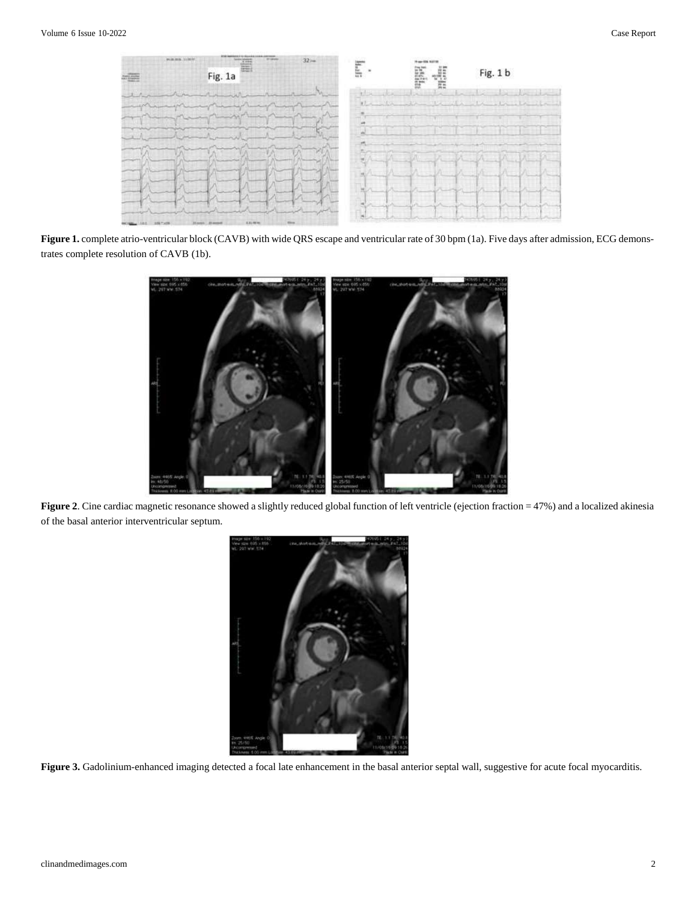

Figure 1. complete atrio-ventricular block (CAVB) with wide QRS escape and ventricular rate of 30 bpm (1a). Five days after admission, ECG demonstrates complete resolution of CAVB (1b).



Figure 2. Cine cardiac magnetic resonance showed a slightly reduced global function of left ventricle (ejection fraction = 47%) and a localized akinesia of the basal anterior interventricular septum.



Figure 3. Gadolinium-enhanced imaging detected a focal late enhancement in the basal anterior septal wall, suggestive for acute focal myocarditis.